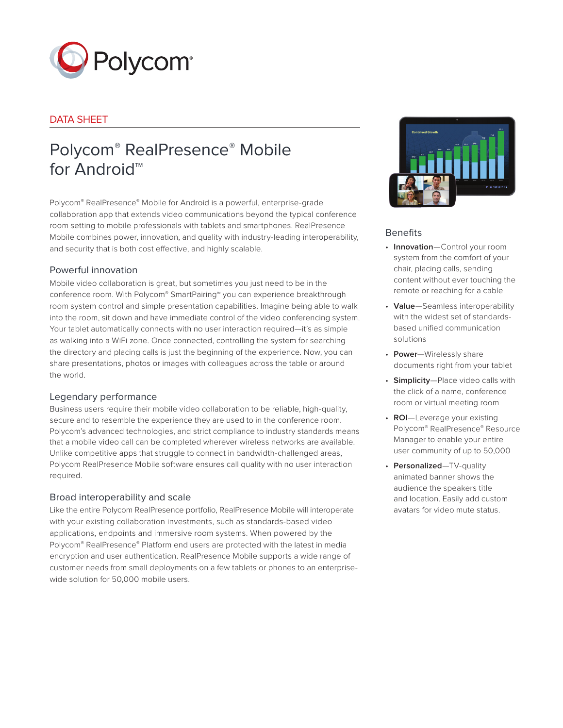

# DATA SHEET

# Polycom® RealPresence® Mobile for Android™

Polycom® RealPresence® Mobile for Android is a powerful, enterprise-grade collaboration app that extends video communications beyond the typical conference room setting to mobile professionals with tablets and smartphones. RealPresence Mobile combines power, innovation, and quality with industry-leading interoperability, and security that is both cost effective, and highly scalable.

## Powerful innovation

Mobile video collaboration is great, but sometimes you just need to be in the conference room. With Polycom® SmartPairing™ you can experience breakthrough room system control and simple presentation capabilities. Imagine being able to walk into the room, sit down and have immediate control of the video conferencing system. Your tablet automatically connects with no user interaction required—it's as simple as walking into a WiFi zone. Once connected, controlling the system for searching the directory and placing calls is just the beginning of the experience. Now, you can share presentations, photos or images with colleagues across the table or around the world.

## Legendary performance

Business users require their mobile video collaboration to be reliable, high-quality, secure and to resemble the experience they are used to in the conference room. Polycom's advanced technologies, and strict compliance to industry standards means that a mobile video call can be completed wherever wireless networks are available. Unlike competitive apps that struggle to connect in bandwidth-challenged areas, Polycom RealPresence Mobile software ensures call quality with no user interaction required.

## Broad interoperability and scale

Like the entire Polycom RealPresence portfolio, RealPresence Mobile will interoperate with your existing collaboration investments, such as standards-based video applications, endpoints and immersive room systems. When powered by the Polycom® RealPresence® Platform end users are protected with the latest in media encryption and user authentication. RealPresence Mobile supports a wide range of customer needs from small deployments on a few tablets or phones to an enterprisewide solution for 50,000 mobile users.



## **Benefits**

- **Innovation**—Control your room system from the comfort of your chair, placing calls, sending content without ever touching the remote or reaching for a cable
- **Value**—Seamless interoperability with the widest set of standardsbased unified communication solutions
- **Power**—Wirelessly share documents right from your tablet
- **Simplicity**—Place video calls with the click of a name, conference room or virtual meeting room
- **ROI**—Leverage your existing Polycom® RealPresence® Resource Manager to enable your entire user community of up to 50,000
- **Personalized**—TV-quality animated banner shows the audience the speakers title and location. Easily add custom avatars for video mute status.